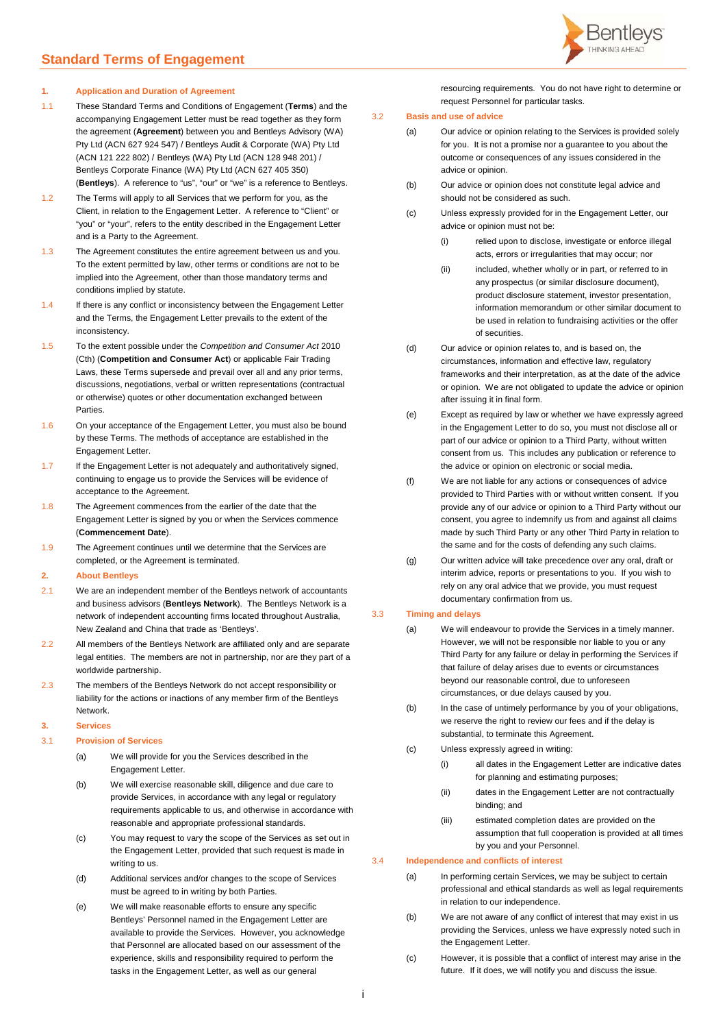

#### **1. Application and Duration of Agreement**

- <span id="page-0-0"></span>1.1 These Standard Terms and Conditions of Engagement (**Terms**) and the accompanying Engagement Letter must be read together as they form the agreement (**Agreement**) between you and Bentleys Advisory (WA) Pty Ltd (ACN 627 924 547) / Bentleys Audit & Corporate (WA) Pty Ltd (ACN 121 222 802) / Bentleys (WA) Pty Ltd (ACN 128 948 201) / Bentleys Corporate Finance (WA) Pty Ltd (ACN 627 405 350) (**Bentleys**). A reference to "us", "our" or "we" is a reference to Bentleys.
- 1.2 The Terms will apply to all Services that we perform for you, as the Client, in relation to the Engagement Letter. A reference to "Client" or "you" or "your", refers to the entity described in the Engagement Letter and is a Party to the Agreement.
- 1.3 The Agreement constitutes the entire agreement between us and you. To the extent permitted by law, other terms or conditions are not to be implied into the Agreement, other than those mandatory terms and conditions implied by statute.
- 1.4 If there is any conflict or inconsistency between the Engagement Letter and the Terms, the Engagement Letter prevails to the extent of the inconsistency.
- <span id="page-0-2"></span>1.5 To the extent possible under the *Competition and Consumer Act* 2010 (Cth) (**Competition and Consumer Act**) or applicable Fair Trading Laws, these Terms supersede and prevail over all and any prior terms, discussions, negotiations, verbal or written representations (contractual or otherwise) quotes or other documentation exchanged between **Parties**
- 1.6 On your acceptance of the Engagement Letter, you must also be bound by these Terms. The methods of acceptance are established in the Engagement Letter.
- 1.7 If the Engagement Letter is not adequately and authoritatively signed, continuing to engage us to provide the Services will be evidence of acceptance to the Agreement.
- <span id="page-0-1"></span>1.8 The Agreement commences from the earlier of the date that the Engagement Letter is signed by you or when the Services commence (**Commencement Date**).
- 1.9 The Agreement continues until we determine that the Services are completed, or the Agreement is terminated.

### **2. About Bentleys**

- 2.1 We are an independent member of the Bentleys network of accountants and business advisors (**Bentleys Network**). The Bentleys Network is a network of independent accounting firms located throughout Australia, New Zealand and China that trade as 'Bentleys'.
- 2.2 All members of the Bentleys Network are affiliated only and are separate legal entities. The members are not in partnership, nor are they part of a worldwide partnership.
- 2.3 The members of the Bentleys Network do not accept responsibility or liability for the actions or inactions of any member firm of the Bentleys Network.

#### **3. Services**

- 3.1 **Provision of Services**
	- (a) We will provide for you the Services described in the Engagement Letter.
	- (b) We will exercise reasonable skill, diligence and due care to provide Services, in accordance with any legal or regulatory requirements applicable to us, and otherwise in accordance with reasonable and appropriate professional standards.
	- (c) You may request to vary the scope of the Services as set out in the Engagement Letter, provided that such request is made in writing to us.
	- (d) Additional services and/or changes to the scope of Services must be agreed to in writing by both Parties.
	- (e) We will make reasonable efforts to ensure any specific Bentleys' Personnel named in the Engagement Letter are available to provide the Services. However, you acknowledge that Personnel are allocated based on our assessment of the experience, skills and responsibility required to perform the tasks in the Engagement Letter, as well as our general

resourcing requirements. You do not have right to determine or request Personnel for particular tasks.

# 3.2 **Basis and use of advice**

- (a) Our advice or opinion relating to the Services is provided solely for you. It is not a promise nor a guarantee to you about the outcome or consequences of any issues considered in the advice or opinion.
	- (b) Our advice or opinion does not constitute legal advice and should not be considered as such.
	- (c) Unless expressly provided for in the Engagement Letter, our advice or opinion must not be:
		- (i) relied upon to disclose, investigate or enforce illegal acts, errors or irregularities that may occur; nor
		- (ii) included, whether wholly or in part, or referred to in any prospectus (or similar disclosure document), product disclosure statement, investor presentation, information memorandum or other similar document to be used in relation to fundraising activities or the offer of securities.
- (d) Our advice or opinion relates to, and is based on, the circumstances, information and effective law, regulatory frameworks and their interpretation, as at the date of the advice or opinion. We are not obligated to update the advice or opinion after issuing it in final form.
- (e) Except as required by law or whether we have expressly agreed in the Engagement Letter to do so, you must not disclose all or part of our advice or opinion to a Third Party, without written consent from us. This includes any publication or reference to the advice or opinion on electronic or social media.
- (f) We are not liable for any actions or consequences of advice provided to Third Parties with or without written consent. If you provide any of our advice or opinion to a Third Party without our consent, you agree to indemnify us from and against all claims made by such Third Party or any other Third Party in relation to the same and for the costs of defending any such claims.
- (g) Our written advice will take precedence over any oral, draft or interim advice, reports or presentations to you. If you wish to rely on any oral advice that we provide, you must request documentary confirmation from us.

### 3.3 **Timing and delays**

- (a) We will endeavour to provide the Services in a timely manner. However, we will not be responsible nor liable to you or any Third Party for any failure or delay in performing the Services if that failure of delay arises due to events or circumstances beyond our reasonable control, due to unforeseen circumstances, or due delays caused by you.
	- (b) In the case of untimely performance by you of your obligations, we reserve the right to review our fees and if the delay is substantial, to terminate this Agreement.
	- (c) Unless expressly agreed in writing:
		- (i) all dates in the Engagement Letter are indicative dates for planning and estimating purposes;
		- (ii) dates in the Engagement Letter are not contractually binding; and
		- (iii) estimated completion dates are provided on the assumption that full cooperation is provided at all times by you and your Personnel.

## 3.4 **Independence and conflicts of interest**

- (a) In performing certain Services, we may be subject to certain professional and ethical standards as well as legal requirements in relation to our independence.
- (b) We are not aware of any conflict of interest that may exist in us providing the Services, unless we have expressly noted such in the Engagement Letter.
- (c) However, it is possible that a conflict of interest may arise in the future. If it does, we will notify you and discuss the issue.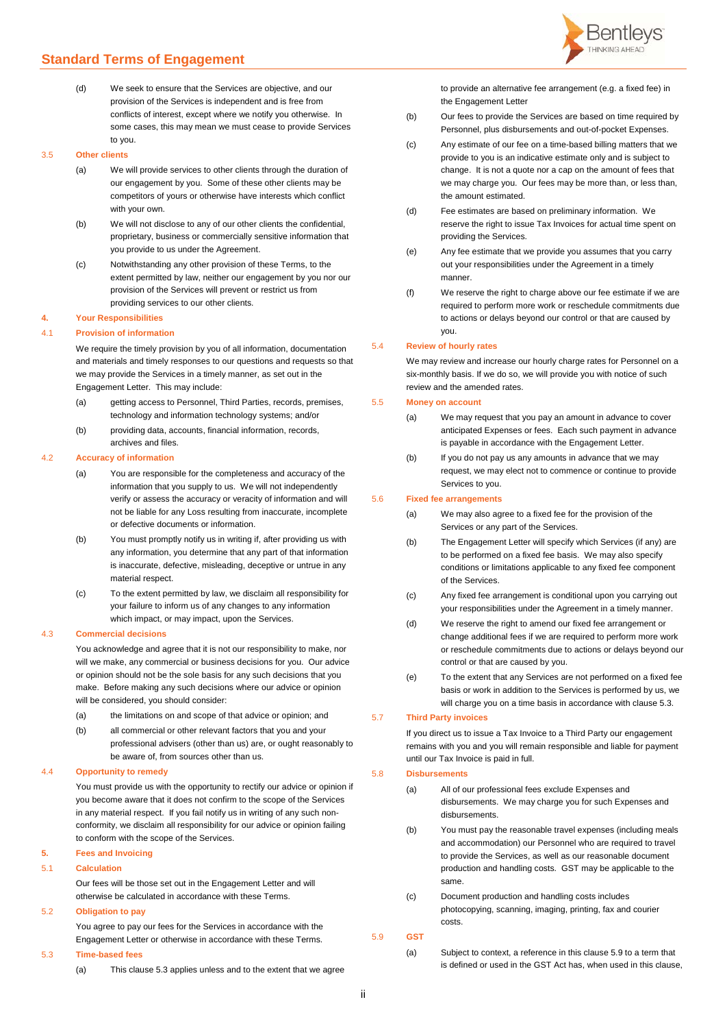- (d) We seek to ensure that the Services are objective, and our provision of the Services is independent and is free from conflicts of interest, except where we notify you otherwise. In
	- some cases, this may mean we must cease to provide Services to you.

# 3.5 **Other clients**

- (a) We will provide services to other clients through the duration of our engagement by you. Some of these other clients may be competitors of yours or otherwise have interests which conflict with your own.
- (b) We will not disclose to any of our other clients the confidential proprietary, business or commercially sensitive information that you provide to us under the Agreement.
- (c) Notwithstanding any other provision of these Terms, to the extent permitted by law, neither our engagement by you nor our provision of the Services will prevent or restrict us from providing services to our other clients.

#### **4. Your Responsibilities**

#### 4.1 **Provision of information**

We require the timely provision by you of all information, documentation and materials and timely responses to our questions and requests so that we may provide the Services in a timely manner, as set out in the Engagement Letter. This may include:

- (a) getting access to Personnel, Third Parties, records, premises, technology and information technology systems; and/or
- (b) providing data, accounts, financial information, records, archives and files.

#### 4.2 **Accuracy of information**

- (a) You are responsible for the completeness and accuracy of the information that you supply to us. We will not independently verify or assess the accuracy or veracity of information and will not be liable for any Loss resulting from inaccurate, incomplete or defective documents or information.
- (b) You must promptly notify us in writing if, after providing us with any information, you determine that any part of that information is inaccurate, defective, misleading, deceptive or untrue in any material respect.
- (c) To the extent permitted by law, we disclaim all responsibility for your failure to inform us of any changes to any information which impact, or may impact, upon the Services.

#### 4.3 **Commercial decisions**

You acknowledge and agree that it is not our responsibility to make, nor will we make, any commercial or business decisions for you. Our advice or opinion should not be the sole basis for any such decisions that you make. Before making any such decisions where our advice or opinion will be considered, you should consider:

- (a) the limitations on and scope of that advice or opinion; and
- (b) all commercial or other relevant factors that you and your professional advisers (other than us) are, or ought reasonably to be aware of, from sources other than us.

### 4.4 **Opportunity to remedy**

You must provide us with the opportunity to rectify our advice or opinion if you become aware that it does not confirm to the scope of the Services in any material respect. If you fail notify us in writing of any such nonconformity, we disclaim all responsibility for our advice or opinion failing to conform with the scope of the Services.

## **5. Fees and Invoicing**

## 5.1 **Calculation**

Our fees will be those set out in the Engagement Letter and will otherwise be calculated in accordance with these Terms.

## 5.2 **Obligation to pay**

You agree to pay our fees for the Services in accordance with the Engagement Letter or otherwise in accordance with these Terms.

# <span id="page-1-0"></span>5.3 **Time-based fees**

(a) This clause [5.3](#page-1-0) applies unless and to the extent that we agree



to provide an alternative fee arrangement (e.g. a fixed fee) in the Engagement Letter

- (b) Our fees to provide the Services are based on time required by Personnel, plus disbursements and out-of-pocket Expenses.
- (c) Any estimate of our fee on a time-based billing matters that we provide to you is an indicative estimate only and is subject to change. It is not a quote nor a cap on the amount of fees that we may charge you. Our fees may be more than, or less than, the amount estimated.
- (d) Fee estimates are based on preliminary information. We reserve the right to issue Tax Invoices for actual time spent on providing the Services.
- (e) Any fee estimate that we provide you assumes that you carry out your responsibilities under the Agreement in a timely manner.
- (f) We reserve the right to charge above our fee estimate if we are required to perform more work or reschedule commitments due to actions or delays beyond our control or that are caused by you.

#### 5.4 **Review of hourly rates**

We may review and increase our hourly charge rates for Personnel on a six-monthly basis. If we do so, we will provide you with notice of such review and the amended rates.

## 5.5 **Money on account**

- (a) We may request that you pay an amount in advance to cover anticipated Expenses or fees. Each such payment in advance is payable in accordance with the Engagement Letter.
- (b) If you do not pay us any amounts in advance that we may request, we may elect not to commence or continue to provide Services to you.

## 5.6 **Fixed fee arrangements**

- (a) We may also agree to a fixed fee for the provision of the Services or any part of the Services.
- (b) The Engagement Letter will specify which Services (if any) are to be performed on a fixed fee basis. We may also specify conditions or limitations applicable to any fixed fee component of the Services.
- (c) Any fixed fee arrangement is conditional upon you carrying out your responsibilities under the Agreement in a timely manner.
- (d) We reserve the right to amend our fixed fee arrangement or change additional fees if we are required to perform more work or reschedule commitments due to actions or delays beyond our control or that are caused by you.
- (e) To the extent that any Services are not performed on a fixed fee basis or work in addition to the Services is performed by us, we will charge you on a time basis in accordance with clause 5.3.

## 5.7 **Third Party invoices**

If you direct us to issue a Tax Invoice to a Third Party our engagement remains with you and you will remain responsible and liable for payment until our Tax Invoice is paid in full.

## 5.8 **Disbursements**

- (a) All of our professional fees exclude Expenses and disbursements. We may charge you for such Expenses and disbursements.
- (b) You must pay the reasonable travel expenses (including meals and accommodation) our Personnel who are required to travel to provide the Services, as well as our reasonable document production and handling costs. GST may be applicable to the same.
- (c) Document production and handling costs includes photocopying, scanning, imaging, printing, fax and courier costs.

# <span id="page-1-1"></span>5.9 **GST**

(a) Subject to context, a reference in this clause [5.9](#page-1-1) to a term that is defined or used in the GST Act has, when used in this clause,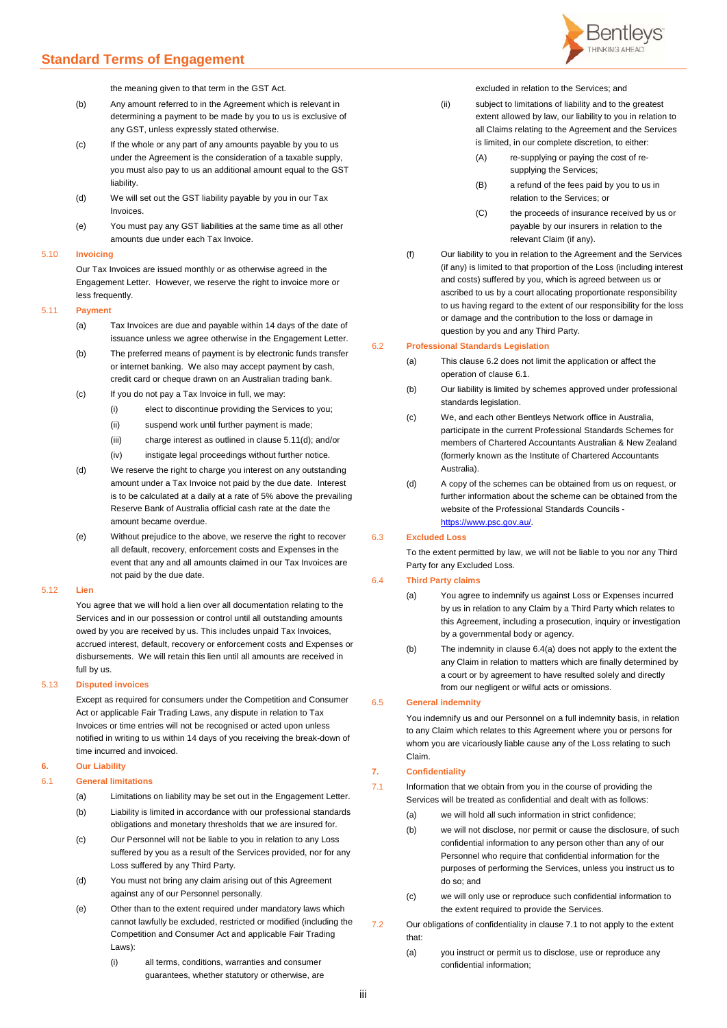

the meaning given to that term in the GST Act.

- (b) Any amount referred to in the Agreement which is relevant in determining a payment to be made by you to us is exclusive of any GST, unless expressly stated otherwise.
- (c) If the whole or any part of any amounts payable by you to us under the Agreement is the consideration of a taxable supply, you must also pay to us an additional amount equal to the GST liability.
- (d) We will set out the GST liability payable by you in our Tax Invoices.
- (e) You must pay any GST liabilities at the same time as all other amounts due under each Tax Invoice.

## 5.10 **Invoicing**

Our Tax Invoices are issued monthly or as otherwise agreed in the Engagement Letter. However, we reserve the right to invoice more or less frequently.

## 5.11 **Payment**

- (a) Tax Invoices are due and payable within 14 days of the date of issuance unless we agree otherwise in the Engagement Letter.
- (b) The preferred means of payment is by electronic funds transfer or internet banking. We also may accept payment by cash, credit card or cheque drawn on an Australian trading bank.
- (c) If you do not pay a Tax Invoice in full, we may:
	- (i) elect to discontinue providing the Services to you;
	- (ii) suspend work until further payment is made;
	- (iii) charge interest as outlined in claus[e 5.11\(d\);](#page-2-0) and/or
	- (iv) instigate legal proceedings without further notice.
- <span id="page-2-0"></span>(d) We reserve the right to charge you interest on any outstanding amount under a Tax Invoice not paid by the due date. Interest is to be calculated at a daily at a rate of 5% above the prevailing Reserve Bank of Australia official cash rate at the date the amount became overdue.
- (e) Without prejudice to the above, we reserve the right to recover all default, recovery, enforcement costs and Expenses in the event that any and all amounts claimed in our Tax Invoices are not paid by the due date.

## 5.12 **Lien**

You agree that we will hold a lien over all documentation relating to the Services and in our possession or control until all outstanding amounts owed by you are received by us. This includes unpaid Tax Invoices, accrued interest, default, recovery or enforcement costs and Expenses or disbursements. We will retain this lien until all amounts are received in full by us.

#### 5.13 **Disputed invoices**

Except as required for consumers under the Competition and Consumer Act or applicable Fair Trading Laws, any dispute in relation to Tax Invoices or time entries will not be recognised or acted upon unless notified in writing to us within 14 days of you receiving the break-down of time incurred and invoiced.

## **6. Our Liability**

## <span id="page-2-2"></span>6.1 **General limitations**

- (a) Limitations on liability may be set out in the Engagement Letter.
- (b) Liability is limited in accordance with our professional standards obligations and monetary thresholds that we are insured for.
- (c) Our Personnel will not be liable to you in relation to any Loss suffered by you as a result of the Services provided, nor for any Loss suffered by any Third Party.
- (d) You must not bring any claim arising out of this Agreement against any of our Personnel personally.
- (e) Other than to the extent required under mandatory laws which cannot lawfully be excluded, restricted or modified (including the Competition and Consumer Act and applicable Fair Trading Laws):
	- (i) all terms, conditions, warranties and consumer guarantees, whether statutory or otherwise, are

excluded in relation to the Services; and

- (ii) subject to limitations of liability and to the greatest extent allowed by law, our liability to you in relation to all Claims relating to the Agreement and the Services is limited, in our complete discretion, to either:
	- (A) re-supplying or paying the cost of resupplying the Services;
	- (B) a refund of the fees paid by you to us in relation to the Services; or
	- (C) the proceeds of insurance received by us or payable by our insurers in relation to the relevant Claim (if any).
- (f) Our liability to you in relation to the Agreement and the Services (if any) is limited to that proportion of the Loss (including interest and costs) suffered by you, which is agreed between us or ascribed to us by a court allocating proportionate responsibility to us having regard to the extent of our responsibility for the loss or damage and the contribution to the loss or damage in question by you and any Third Party.

## <span id="page-2-1"></span>6.2 **Professional Standards Legislation**

- (a) This clause [6.2](#page-2-1) does not limit the application or affect the operation of claus[e 6.1.](#page-2-2)
- (b) Our liability is limited by schemes approved under professional standards legislation.
- (c) We, and each other Bentleys Network office in Australia, participate in the current Professional Standards Schemes for members of Chartered Accountants Australian & New Zealand (formerly known as the Institute of Chartered Accountants Australia).
- (d) A copy of the schemes can be obtained from us on request, or further information about the scheme can be obtained from the website of the Professional Standards Councils [https://www.psc.gov.au/.](https://www.psc.gov.au/)

6.3 **Excluded Loss**

To the extent permitted by law, we will not be liable to you nor any Third Party for any Excluded Loss.

## <span id="page-2-3"></span>6.4 **Third Party claims**

- (a) You agree to indemnify us against Loss or Expenses incurred by us in relation to any Claim by a Third Party which relates to this Agreement, including a prosecution, inquiry or investigation by a governmental body or agency.
- (b) The indemnity in clause [6.4\(a\)](#page-2-3) does not apply to the extent the any Claim in relation to matters which are finally determined by a court or by agreement to have resulted solely and directly from our negligent or wilful acts or omissions.

## 6.5 **General indemnity**

You indemnify us and our Personnel on a full indemnity basis, in relation to any Claim which relates to this Agreement where you or persons for whom you are vicariously liable cause any of the Loss relating to such Claim.

## **7. Confidentiality**

<span id="page-2-4"></span>7.1 Information that we obtain from you in the course of providing the Services will be treated as confidential and dealt with as follows:

- (a) we will hold all such information in strict confidence;
- (b) we will not disclose, nor permit or cause the disclosure, of such confidential information to any person other than any of our Personnel who require that confidential information for the purposes of performing the Services, unless you instruct us to do so; and
- (c) we will only use or reproduce such confidential information to the extent required to provide the Services.
- 7.2 Our obligations of confidentiality in clause [7.1](#page-2-4) to not apply to the extent that:
	- (a) you instruct or permit us to disclose, use or reproduce any confidential information;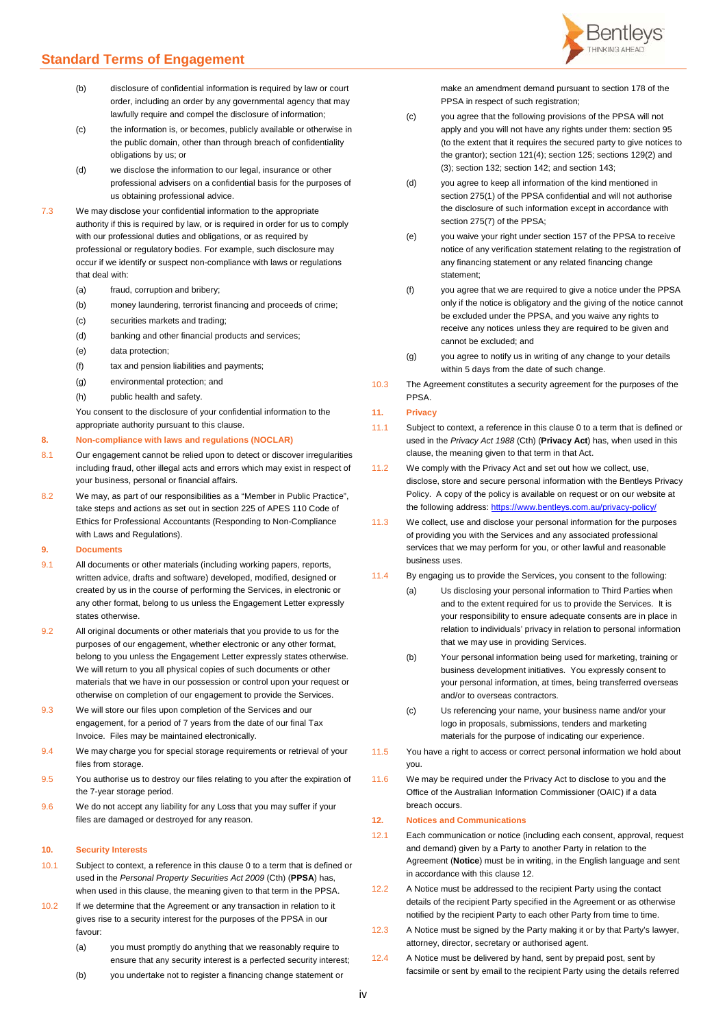- (b) disclosure of confidential information is required by law or court order, including an order by any governmental agency that may lawfully require and compel the disclosure of information;
- (c) the information is, or becomes, publicly available or otherwise in the public domain, other than through breach of confidentiality obligations by us; or
- (d) we disclose the information to our legal, insurance or other professional advisers on a confidential basis for the purposes of us obtaining professional advice.
- 7.3 We may disclose your confidential information to the appropriate authority if this is required by law, or is required in order for us to comply with our professional duties and obligations, or as required by professional or regulatory bodies. For example, such disclosure may occur if we identify or suspect non-compliance with laws or regulations that deal with:
	- (a) fraud, corruption and bribery;
	- (b) money laundering, terrorist financing and proceeds of crime;
	- (c) securities markets and trading;
	- (d) banking and other financial products and services;
	- (e) data protection;
	- (f) tax and pension liabilities and payments;
	- (g) environmental protection; and
	- (h) public health and safety.

You consent to the disclosure of your confidential information to the appropriate authority pursuant to this clause.

#### **8. Non-compliance with laws and regulations (NOCLAR)**

- 8.1 Our engagement cannot be relied upon to detect or discover irregularities including fraud, other illegal acts and errors which may exist in respect of your business, personal or financial affairs.
- 8.2 We may, as part of our responsibilities as a "Member in Public Practice", take steps and actions as set out in section 225 of APES 110 Code of Ethics for Professional Accountants (Responding to Non-Compliance with Laws and Regulations).

## **9. Documents**

- 9.1 All documents or other materials (including working papers, reports, written advice, drafts and software) developed, modified, designed or created by us in the course of performing the Services, in electronic or any other format, belong to us unless the Engagement Letter expressly states otherwise.
- 9.2 All original documents or other materials that you provide to us for the purposes of our engagement, whether electronic or any other format, belong to you unless the Engagement Letter expressly states otherwise. We will return to you all physical copies of such documents or other materials that we have in our possession or control upon your request or otherwise on completion of our engagement to provide the Services.
- 9.3 We will store our files upon completion of the Services and our engagement, for a period of 7 years from the date of our final Tax Invoice. Files may be maintained electronically.
- 9.4 We may charge you for special storage requirements or retrieval of your files from storage.
- 9.5 You authorise us to destroy our files relating to you after the expiration of the 7-year storage period.
- 9.6 We do not accept any liability for any Loss that you may suffer if your files are damaged or destroyed for any reason.

### <span id="page-3-0"></span>**10. Security Interests**

- 10.1 Subject to context, a reference in this claus[e 0](#page-3-0) to a term that is defined or used in the *Personal Property Securities Act 2009* (Cth) (**PPSA**) has, when used in this clause, the meaning given to that term in the PPSA.
- 10.2 If we determine that the Agreement or any transaction in relation to it gives rise to a security interest for the purposes of the PPSA in our favour:
	- (a) you must promptly do anything that we reasonably require to ensure that any security interest is a perfected security interest;
	- (b) you undertake not to register a financing change statement or



make an amendment demand pursuant to section 178 of the PPSA in respect of such registration;

- (c) you agree that the following provisions of the PPSA will not apply and you will not have any rights under them: section 95 (to the extent that it requires the secured party to give notices to the grantor); section 121(4); section 125; sections 129(2) and (3); section 132; section 142; and section 143;
- (d) you agree to keep all information of the kind mentioned in section 275(1) of the PPSA confidential and will not authorise the disclosure of such information except in accordance with section 275(7) of the PPSA:
- (e) you waive your right under section 157 of the PPSA to receive notice of any verification statement relating to the registration of any financing statement or any related financing change statement;
- (f) you agree that we are required to give a notice under the PPSA only if the notice is obligatory and the giving of the notice cannot be excluded under the PPSA, and you waive any rights to receive any notices unless they are required to be given and cannot be excluded; and
- (g) you agree to notify us in writing of any change to your details within 5 days from the date of such change.
- 10.3 The Agreement constitutes a security agreement for the purposes of the PPSA.

#### <span id="page-3-1"></span>**11. Privacy**

- 11.1 Subject to context, a reference in this claus[e 0](#page-3-1) to a term that is defined or used in the *Privacy Act 1988* (Cth) (**Privacy Act**) has, when used in this clause, the meaning given to that term in that Act.
- 11.2 We comply with the Privacy Act and set out how we collect, use, disclose, store and secure personal information with the Bentleys Privacy Policy. A copy of the policy is available on request or on our website at the following address: https://www.bentleys.com.au/privacy-ro
- 11.3 We collect, use and disclose your personal information for the purposes of providing you with the Services and any associated professional services that we may perform for you, or other lawful and reasonable business uses.
- 11.4 By engaging us to provide the Services, you consent to the following:
	- (a) Us disclosing your personal information to Third Parties when and to the extent required for us to provide the Services. It is your responsibility to ensure adequate consents are in place in relation to individuals' privacy in relation to personal information that we may use in providing Services.
	- (b) Your personal information being used for marketing, training or business development initiatives. You expressly consent to your personal information, at times, being transferred overseas and/or to overseas contractors.
	- (c) Us referencing your name, your business name and/or your logo in proposals, submissions, tenders and marketing materials for the purpose of indicating our experience.
- 11.5 You have a right to access or correct personal information we hold about you.
- 11.6 We may be required under the Privacy Act to disclose to you and the Office of the Australian Information Commissioner (OAIC) if a data breach occurs.

## <span id="page-3-2"></span>**12. Notices and Communications**

- 12.1 Each communication or notice (including each consent, approval, request and demand) given by a Party to another Party in relation to the Agreement (**Notice**) must be in writing, in the English language and sent in accordance with this claus[e 12.](#page-3-2)
- <span id="page-3-3"></span>12.2 A Notice must be addressed to the recipient Party using the contact details of the recipient Party specified in the Agreement or as otherwise notified by the recipient Party to each other Party from time to time.
- 12.3 A Notice must be signed by the Party making it or by that Party's lawyer, attorney, director, secretary or authorised agent.
- 12.4 A Notice must be delivered by hand, sent by prepaid post, sent by facsimile or sent by email to the recipient Party using the details referred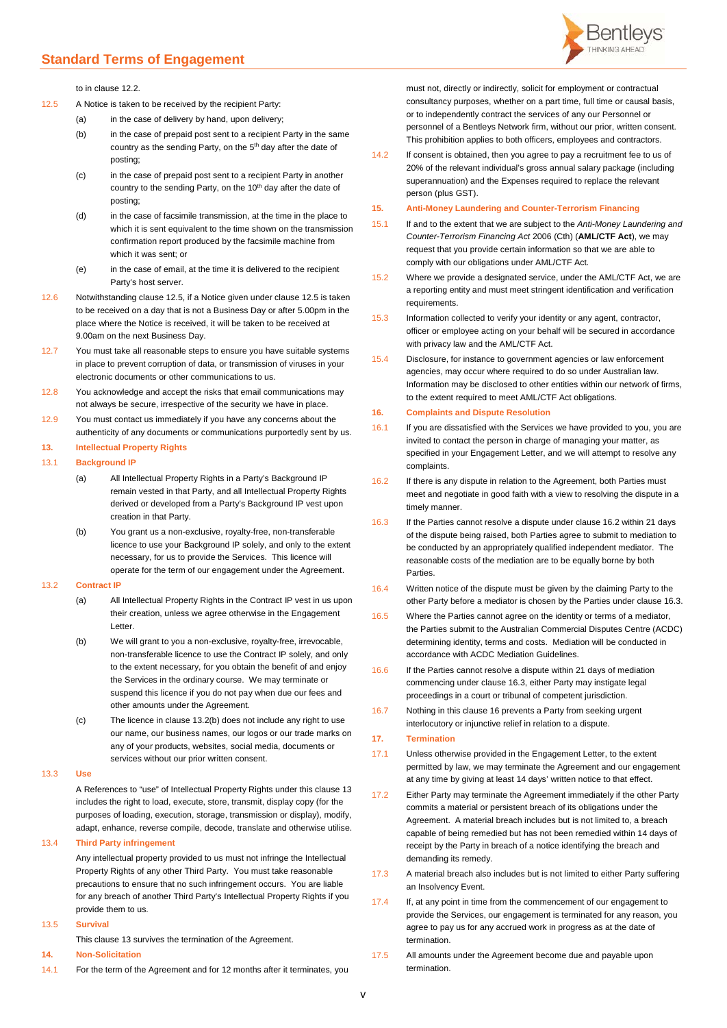

to in claus[e 12.2.](#page-3-3)

<span id="page-4-0"></span>12.5 A Notice is taken to be received by the recipient Party:

- (a) in the case of delivery by hand, upon delivery;
- (b) in the case of prepaid post sent to a recipient Party in the same country as the sending Party, on the 5<sup>th</sup> day after the date of posting;
- (c) in the case of prepaid post sent to a recipient Party in another country to the sending Party, on the 10<sup>th</sup> day after the date of posting;
- (d) in the case of facsimile transmission, at the time in the place to which it is sent equivalent to the time shown on the transmission confirmation report produced by the facsimile machine from which it was sent; or
- (e) in the case of email, at the time it is delivered to the recipient Party's host server.
- 12.6 Notwithstanding claus[e 12.5,](#page-4-0) if a Notice given under clause [12.5](#page-4-0) is taken to be received on a day that is not a Business Day or after 5.00pm in the place where the Notice is received, it will be taken to be received at 9.00am on the next Business Day.
- 12.7 You must take all reasonable steps to ensure you have suitable systems in place to prevent corruption of data, or transmission of viruses in your electronic documents or other communications to us.
- 12.8 You acknowledge and accept the risks that email communications may not always be secure, irrespective of the security we have in place.
- 12.9 You must contact us immediately if you have any concerns about the authenticity of any documents or communications purportedly sent by us.

# <span id="page-4-2"></span>**13. Intellectual Property Rights**

## 13.1 **Background IP**

- (a) All Intellectual Property Rights in a Party's Background IP remain vested in that Party, and all Intellectual Property Rights derived or developed from a Party's Background IP vest upon creation in that Party.
- (b) You grant us a non-exclusive, royalty-free, non-transferable licence to use your Background IP solely, and only to the extent necessary, for us to provide the Services. This licence will operate for the term of our engagement under the Agreement.

### 13.2 **Contract IP**

- (a) All Intellectual Property Rights in the Contract IP vest in us upon their creation, unless we agree otherwise in the Engagement Letter.
- <span id="page-4-1"></span>(b) We will grant to you a non-exclusive, royalty-free, irrevocable, non-transferable licence to use the Contract IP solely, and only to the extent necessary, for you obtain the benefit of and enjoy the Services in the ordinary course. We may terminate or suspend this licence if you do not pay when due our fees and other amounts under the Agreement.
- (c) The licence in clause [13.2\(b\)](#page-4-1) does not include any right to use our name, our business names, our logos or our trade marks on any of your products, websites, social media, documents or services without our prior written consent.

#### 13.3 **Use**

A References to "use" of Intellectual Property Rights under this claus[e 13](#page-4-2) includes the right to load, execute, store, transmit, display copy (for the purposes of loading, execution, storage, transmission or display), modify, adapt, enhance, reverse compile, decode, translate and otherwise utilise.

## 13.4 **Third Party infringement**

Any intellectual property provided to us must not infringe the Intellectual Property Rights of any other Third Party. You must take reasonable precautions to ensure that no such infringement occurs. You are liable for any breach of another Third Party's Intellectual Property Rights if you provide them to us.

#### 13.5 **Survival**

This claus[e 13](#page-4-2) survives the termination of the Agreement.

- **14. Non-Solicitation**
- 14.1 For the term of the Agreement and for 12 months after it terminates, you

must not, directly or indirectly, solicit for employment or contractual consultancy purposes, whether on a part time, full time or causal basis, or to independently contract the services of any our Personnel or personnel of a Bentleys Network firm, without our prior, written consent. This prohibition applies to both officers, employees and contractors.

14.2 If consent is obtained, then you agree to pay a recruitment fee to us of 20% of the relevant individual's gross annual salary package (including superannuation) and the Expenses required to replace the relevant person (plus GST).

### **15. Anti-Money Laundering and Counter-Terrorism Financing**

- 15.1 If and to the extent that we are subject to the *Anti-Money Laundering and Counter-Terrorism Financing Act* 2006 (Cth) (**AML/CTF Act**), we may request that you provide certain information so that we are able to comply with our obligations under AML/CTF Act.
- 15.2 Where we provide a designated service, under the AML/CTF Act, we are a reporting entity and must meet stringent identification and verification requirements.
- 15.3 Information collected to verify your identity or any agent, contractor, officer or employee acting on your behalf will be secured in accordance with privacy law and the AML/CTF Act.
- 15.4 Disclosure, for instance to government agencies or law enforcement agencies, may occur where required to do so under Australian law. Information may be disclosed to other entities within our network of firms, to the extent required to meet AML/CTF Act obligations.

## <span id="page-4-5"></span>**16. Complaints and Dispute Resolution**

- 16.1 If you are dissatisfied with the Services we have provided to you, you are invited to contact the person in charge of managing your matter, as specified in your Engagement Letter, and we will attempt to resolve any complaints.
- <span id="page-4-3"></span>16.2 If there is any dispute in relation to the Agreement, both Parties must meet and negotiate in good faith with a view to resolving the dispute in a timely manner.
- <span id="page-4-4"></span>16.3 If the Parties cannot resolve a dispute under claus[e 16.2](#page-4-3) within 21 days of the dispute being raised, both Parties agree to submit to mediation to be conducted by an appropriately qualified independent mediator. The reasonable costs of the mediation are to be equally borne by both **Parties**
- 16.4 Written notice of the dispute must be given by the claiming Party to the other Party before a mediator is chosen by the Parties under claus[e 16.3.](#page-4-4)
- 16.5 Where the Parties cannot agree on the identity or terms of a mediator, the Parties submit to the Australian Commercial Disputes Centre (ACDC) determining identity, terms and costs. Mediation will be conducted in accordance with ACDC Mediation Guidelines.
- 16.6 If the Parties cannot resolve a dispute within 21 days of mediation commencing under clause [16.3,](#page-4-4) either Party may instigate legal proceedings in a court or tribunal of competent jurisdiction.
- 16.7 Nothing in this claus[e 16](#page-4-5) prevents a Party from seeking urgent interlocutory or injunctive relief in relation to a dispute.

#### **17. Termination**

- 17.1 Unless otherwise provided in the Engagement Letter, to the extent permitted by law, we may terminate the Agreement and our engagement at any time by giving at least 14 days' written notice to that effect.
- 17.2 Either Party may terminate the Agreement immediately if the other Party commits a material or persistent breach of its obligations under the Agreement. A material breach includes but is not limited to, a breach capable of being remedied but has not been remedied within 14 days of receipt by the Party in breach of a notice identifying the breach and demanding its remedy.
- 17.3 A material breach also includes but is not limited to either Party suffering an Insolvency Event.
- 17.4 If, at any point in time from the commencement of our engagement to provide the Services, our engagement is terminated for any reason, you agree to pay us for any accrued work in progress as at the date of termination.
- 17.5 All amounts under the Agreement become due and payable upon termination.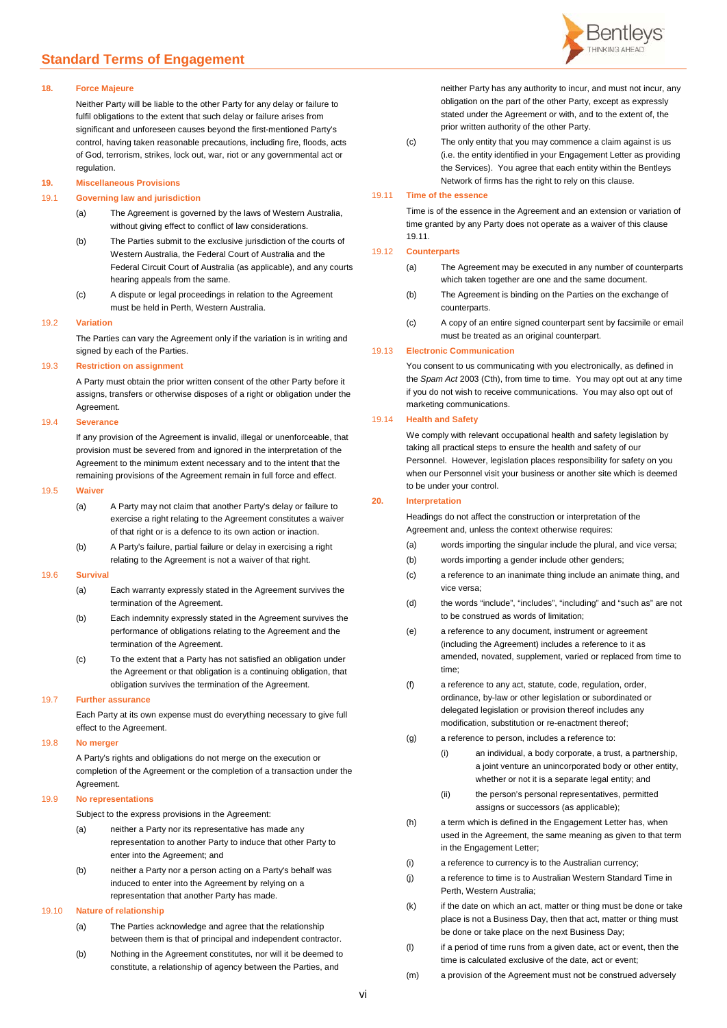#### **18. Force Majeure**

Neither Party will be liable to the other Party for any delay or failure to fulfil obligations to the extent that such delay or failure arises from significant and unforeseen causes beyond the first-mentioned Party's control, having taken reasonable precautions, including fire, floods, acts of God, terrorism, strikes, lock out, war, riot or any governmental act or regulation.

# **19. Miscellaneous Provisions**

### 19.1 **Governing law and jurisdiction**

- (a) The Agreement is governed by the laws of Western Australia, without giving effect to conflict of law considerations.
- (b) The Parties submit to the exclusive jurisdiction of the courts of Western Australia, the Federal Court of Australia and the Federal Circuit Court of Australia (as applicable), and any courts hearing appeals from the same.
- (c) A dispute or legal proceedings in relation to the Agreement must be held in Perth, Western Australia.

#### 19.2 **Variation**

The Parties can vary the Agreement only if the variation is in writing and signed by each of the Parties.

#### 19.3 **Restriction on assignment**

A Party must obtain the prior written consent of the other Party before it assigns, transfers or otherwise disposes of a right or obligation under the Agreement.

#### 19.4 **Severance**

If any provision of the Agreement is invalid, illegal or unenforceable, that provision must be severed from and ignored in the interpretation of the Agreement to the minimum extent necessary and to the intent that the remaining provisions of the Agreement remain in full force and effect.

#### 19.5 **Waiver**

- (a) A Party may not claim that another Party's delay or failure to exercise a right relating to the Agreement constitutes a waiver of that right or is a defence to its own action or inaction.
- (b) A Party's failure, partial failure or delay in exercising a right relating to the Agreement is not a waiver of that right.

#### 19.6 **Survival**

- (a) Each warranty expressly stated in the Agreement survives the termination of the Agreement.
- (b) Each indemnity expressly stated in the Agreement survives the performance of obligations relating to the Agreement and the termination of the Agreement.
- (c) To the extent that a Party has not satisfied an obligation under the Agreement or that obligation is a continuing obligation, that obligation survives the termination of the Agreement.

#### 19.7 **Further assurance**

Each Party at its own expense must do everything necessary to give full effect to the Agreement.

## 19.8 **No merger**

A Party's rights and obligations do not merge on the execution or completion of the Agreement or the completion of a transaction under the Agreement.

#### 19.9 **No representations**

Subject to the express provisions in the Agreement:

- (a) neither a Party nor its representative has made any
	- representation to another Party to induce that other Party to enter into the Agreement; and
- (b) neither a Party nor a person acting on a Party's behalf was induced to enter into the Agreement by relying on a representation that another Party has made.

#### 19.10 **Nature of relationship**

- (a) The Parties acknowledge and agree that the relationship between them is that of principal and independent contractor.
- (b) Nothing in the Agreement constitutes, nor will it be deemed to constitute, a relationship of agency between the Parties, and



neither Party has any authority to incur, and must not incur, any obligation on the part of the other Party, except as expressly stated under the Agreement or with, and to the extent of, the prior written authority of the other Party.

(c) The only entity that you may commence a claim against is us (i.e. the entity identified in your Engagement Letter as providing the Services). You agree that each entity within the Bentleys Network of firms has the right to rely on this clause.

## <span id="page-5-0"></span>19.11 **Time of the essence**

Time is of the essence in the Agreement and an extension or variation of time granted by any Party does not operate as a waiver of this clause [19.11.](#page-5-0)

## 19.12 **Counterparts**

- (a) The Agreement may be executed in any number of counterparts which taken together are one and the same document.
- (b) The Agreement is binding on the Parties on the exchange of counterparts.
- (c) A copy of an entire signed counterpart sent by facsimile or email must be treated as an original counterpart.

#### 19.13 **Electronic Communication**

You consent to us communicating with you electronically, as defined in the *Spam Act* 2003 (Cth), from time to time. You may opt out at any time if you do not wish to receive communications. You may also opt out of marketing communications.

#### 19.14 **Health and Safety**

We comply with relevant occupational health and safety legislation by taking all practical steps to ensure the health and safety of our Personnel. However, legislation places responsibility for safety on you when our Personnel visit your business or another site which is deemed to be under your control.

## **20. Interpretation**

Headings do not affect the construction or interpretation of the Agreement and, unless the context otherwise requires:

- (a) words importing the singular include the plural, and vice versa;
- (b) words importing a gender include other genders;
- (c) a reference to an inanimate thing include an animate thing, and vice versa;
- (d) the words "include", "includes", "including" and "such as" are not to be construed as words of limitation;
- (e) a reference to any document, instrument or agreement (including the Agreement) includes a reference to it as amended, novated, supplement, varied or replaced from time to time;
- (f) a reference to any act, statute, code, regulation, order, ordinance, by-law or other legislation or subordinated or delegated legislation or provision thereof includes any modification, substitution or re-enactment thereof;
- (g) a reference to person, includes a reference to:
	- (i) an individual, a body corporate, a trust, a partnership, a joint venture an unincorporated body or other entity, whether or not it is a separate legal entity; and
	- (ii) the person's personal representatives, permitted assigns or successors (as applicable);
- (h) a term which is defined in the Engagement Letter has, when used in the Agreement, the same meaning as given to that term in the Engagement Letter;
- (i) a reference to currency is to the Australian currency;
- (j) a reference to time is to Australian Western Standard Time in Perth, Western Australia;
- $(k)$  if the date on which an act, matter or thing must be done or take place is not a Business Day, then that act, matter or thing must be done or take place on the next Business Day;
- (l) if a period of time runs from a given date, act or event, then the time is calculated exclusive of the date, act or event;
- (m) a provision of the Agreement must not be construed adversely